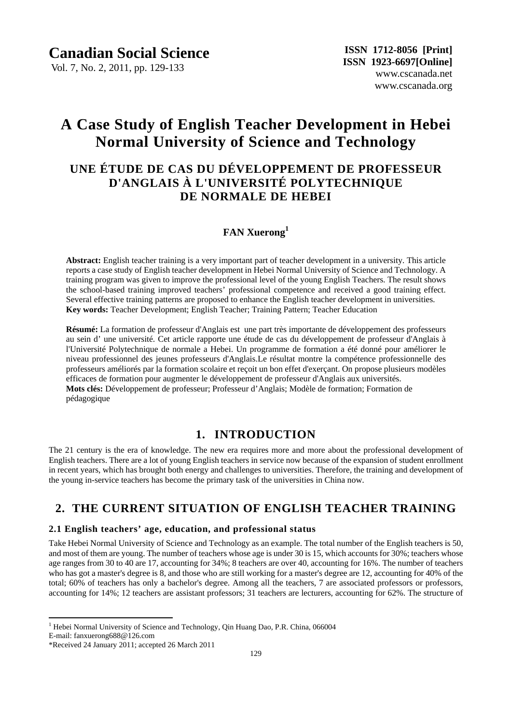Vol. 7, No. 2, 2011, pp. 129-133

# **A Case Study of English Teacher Development in Hebei Normal University of Science and Technology**

## **UNE ÉTUDE DE CAS DU DÉVELOPPEMENT DE PROFESSEUR D'ANGLAIS À L'UNIVERSITÉ POLYTECHNIQUE DE NORMALE DE HEBEI**

### **FAN Xuerong<sup>1</sup>**

**Abstract:** English teacher training is a very important part of teacher development in a university. This article reports a case study of English teacher development in Hebei Normal University of Science and Technology. A training program was given to improve the professional level of the young English Teachers. The result shows the school-based training improved teachers' professional competence and received a good training effect. Several effective training patterns are proposed to enhance the English teacher development in universities. **Key words:** Teacher Development; English Teacher; Training Pattern; Teacher Education

**Résumé:** La formation de professeur d'Anglais est une part très importante de développement des professeurs au sein d' une université. Cet article rapporte une étude de cas du développement de professeur d'Anglais à l'Université Polytechnique de normale a Hebei. Un programme de formation a été donné pour améliorer le niveau professionnel des jeunes professeurs d'Anglais.Le résultat montre la compétence professionnelle des professeurs améliorés par la formation scolaire et reçoit un bon effet d'exerçant. On propose plusieurs modèles efficaces de formation pour augmenter le développement de professeur d'Anglais aux universités. **Mots clés:** Développement de professeur; Professeur d'Anglais; Modèle de formation; Formation de pédagogique

### **1. INTRODUCTION**

The 21 century is the era of knowledge. The new era requires more and more about the professional development of English teachers. There are a lot of young English teachers in service now because of the expansion of student enrollment in recent years, which has brought both energy and challenges to universities. Therefore, the training and development of the young in-service teachers has become the primary task of the universities in China now.

### **2. THE CURRENT SITUATION OF ENGLISH TEACHER TRAINING**

#### **2.1 English teachers' age, education, and professional status**

Take Hebei Normal University of Science and Technology as an example. The total number of the English teachers is 50, and most of them are young. The number of teachers whose age is under 30 is 15, which accounts for 30%; teachers whose age ranges from 30 to 40 are 17, accounting for 34%; 8 teachers are over 40, accounting for 16%. The number of teachers who has got a master's degree is 8, and those who are still working for a master's degree are 12, accounting for 40% of the total; 60% of teachers has only a bachelor's degree. Among all the teachers, 7 are associated professors or professors, accounting for 14%; 12 teachers are assistant professors; 31 teachers are lecturers, accounting for 62%. The structure of

 $\overline{a}$ 

<sup>&</sup>lt;sup>1</sup> Hebei Normal University of Science and Technology, Qin Huang Dao, P.R. China, 066004

E-mail: fanxuerong688@126.com

<sup>\*</sup>Received 24 January 2011; accepted 26 March 2011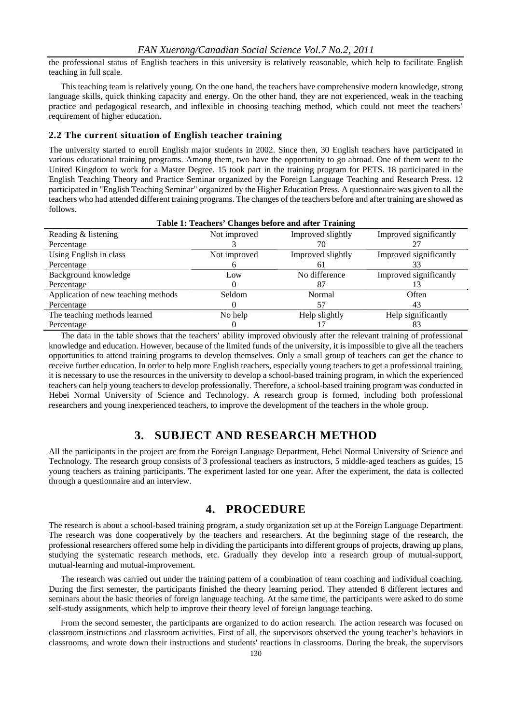the professional status of English teachers in this university is relatively reasonable, which help to facilitate English teaching in full scale.

This teaching team is relatively young. On the one hand, the teachers have comprehensive modern knowledge, strong language skills, quick thinking capacity and energy. On the other hand, they are not experienced, weak in the teaching practice and pedagogical research, and inflexible in choosing teaching method, which could not meet the teachers' requirement of higher education.

#### **2.2 The current situation of English teacher training**

The university started to enroll English major students in 2002. Since then, 30 English teachers have participated in various educational training programs. Among them, two have the opportunity to go abroad. One of them went to the United Kingdom to work for a Master Degree. 15 took part in the training program for PETS. 18 participated in the English Teaching Theory and Practice Seminar organized by the Foreign Language Teaching and Research Press. 12 participated in "English Teaching Seminar" organized by the Higher Education Press. A questionnaire was given to all the teachers who had attended different training programs. The changes of the teachers before and after training are showed as follows.

| Table 1: Teachers' Changes before and after Training |               |                   |                        |  |  |  |  |  |
|------------------------------------------------------|---------------|-------------------|------------------------|--|--|--|--|--|
| Reading & listening                                  | Not improved  | Improved slightly | Improved significantly |  |  |  |  |  |
| Percentage                                           |               | 70                |                        |  |  |  |  |  |
| Using English in class                               | Not improved  | Improved slightly | Improved significantly |  |  |  |  |  |
| Percentage                                           |               | 61                | 33                     |  |  |  |  |  |
| Background knowledge                                 | Low           | No difference     | Improved significantly |  |  |  |  |  |
| Percentage                                           |               | 87                | 13                     |  |  |  |  |  |
| Application of new teaching methods                  | <b>Seldom</b> | Normal            | Often                  |  |  |  |  |  |
| Percentage                                           |               | 57                | 43                     |  |  |  |  |  |
| The teaching methods learned                         | No help       | Help slightly     | Help significantly     |  |  |  |  |  |
| Percentage                                           |               |                   |                        |  |  |  |  |  |

The data in the table shows that the teachers' ability improved obviously after the relevant training of professional knowledge and education. However, because of the limited funds of the university, it is impossible to give all the teachers opportunities to attend training programs to develop themselves. Only a small group of teachers can get the chance to receive further education. In order to help more English teachers, especially young teachers to get a professional training, it is necessary to use the resources in the university to develop a school-based training program, in which the experienced teachers can help young teachers to develop professionally. Therefore, a school-based training program was conducted in Hebei Normal University of Science and Technology. A research group is formed, including both professional researchers and young inexperienced teachers, to improve the development of the teachers in the whole group.

### **3. SUBJECT AND RESEARCH METHOD**

All the participants in the project are from the Foreign Language Department, Hebei Normal University of Science and Technology. The research group consists of 3 professional teachers as instructors, 5 middle-aged teachers as guides, 15 young teachers as training participants. The experiment lasted for one year. After the experiment, the data is collected through a questionnaire and an interview.

### **4. PROCEDURE**

The research is about a school-based training program, a study organization set up at the Foreign Language Department. The research was done cooperatively by the teachers and researchers. At the beginning stage of the research, the professional researchers offered some help in dividing the participants into different groups of projects, drawing up plans, studying the systematic research methods, etc. Gradually they develop into a research group of mutual-support, mutual-learning and mutual-improvement.

The research was carried out under the training pattern of a combination of team coaching and individual coaching. During the first semester, the participants finished the theory learning period. They attended 8 different lectures and seminars about the basic theories of foreign language teaching. At the same time, the participants were asked to do some self-study assignments, which help to improve their theory level of foreign language teaching.

From the second semester, the participants are organized to do action research. The action research was focused on classroom instructions and classroom activities. First of all, the supervisors observed the young teacher's behaviors in classrooms, and wrote down their instructions and students' reactions in classrooms. During the break, the supervisors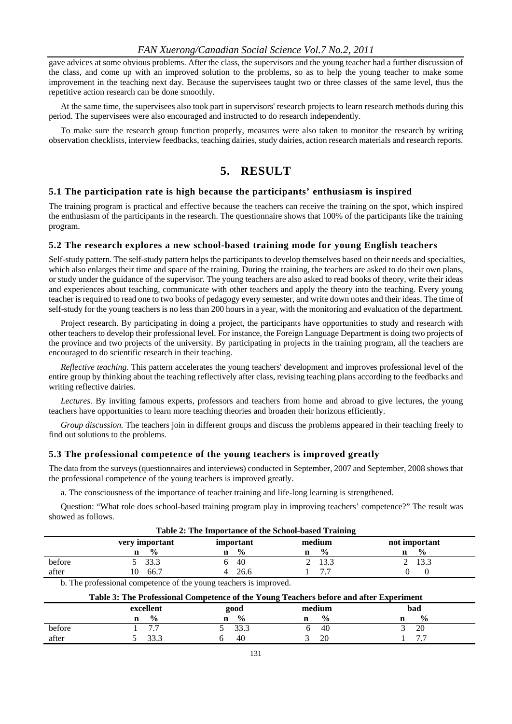gave advices at some obvious problems. After the class, the supervisors and the young teacher had a further discussion of the class, and come up with an improved solution to the problems, so as to help the young teacher to make some improvement in the teaching next day. Because the supervisees taught two or three classes of the same level, thus the repetitive action research can be done smoothly.

At the same time, the supervisees also took part in supervisors' research projects to learn research methods during this period. The supervisees were also encouraged and instructed to do research independently.

To make sure the research group function properly, measures were also taken to monitor the research by writing observation checklists, interview feedbacks, teaching dairies, study dairies, action research materials and research reports.

### **5. RESULT**

#### **5.1 The participation rate is high because the participants' enthusiasm is inspired**

The training program is practical and effective because the teachers can receive the training on the spot, which inspired the enthusiasm of the participants in the research. The questionnaire shows that 100% of the participants like the training program.

#### **5.2 The research explores a new school-based training mode for young English teachers**

Self-study pattern. The self-study pattern helps the participants to develop themselves based on their needs and specialties, which also enlarges their time and space of the training. During the training, the teachers are asked to do their own plans, or study under the guidance of the supervisor. The young teachers are also asked to read books of theory, write their ideas and experiences about teaching, communicate with other teachers and apply the theory into the teaching. Every young teacher is required to read one to two books of pedagogy every semester, and write down notes and their ideas. The time of self-study for the young teachers is no less than 200 hours in a year, with the monitoring and evaluation of the department.

Project research. By participating in doing a project, the participants have opportunities to study and research with other teachers to develop their professional level. For instance, the Foreign Language Department is doing two projects of the province and two projects of the university. By participating in projects in the training program, all the teachers are encouraged to do scientific research in their teaching.

*Reflective teaching.* This pattern accelerates the young teachers' development and improves professional level of the entire group by thinking about the teaching reflectively after class, revising teaching plans according to the feedbacks and writing reflective dairies.

*Lectures.* By inviting famous experts, professors and teachers from home and abroad to give lectures, the young teachers have opportunities to learn more teaching theories and broaden their horizons efficiently.

*Group discussion.* The teachers join in different groups and discuss the problems appeared in their teaching freely to find out solutions to the problems.

#### **5.3 The professional competence of the young teachers is improved greatly**

The data from the surveys (questionnaires and interviews) conducted in September, 2007 and September, 2008 shows that the professional competence of the young teachers is improved greatly.

a. The consciousness of the importance of teacher training and life-long learning is strengthened.

Question: "What role does school-based training program play in improving teachers' competence?" The result was showed as follows.

| Table 2: The Importance of the School-based Training |                |               |                |               |  |  |  |  |  |  |  |
|------------------------------------------------------|----------------|---------------|----------------|---------------|--|--|--|--|--|--|--|
|                                                      | very important | important     | medium         | not important |  |  |  |  |  |  |  |
|                                                      | $\frac{0}{0}$  | $\frac{0}{0}$ | $\frac{6}{10}$ | $\frac{0}{0}$ |  |  |  |  |  |  |  |
| before                                               | 5 33.3         | -40           | 2 13.3         | 2 13.3        |  |  |  |  |  |  |  |
| after                                                | 66.7           | 26.6          |                |               |  |  |  |  |  |  |  |

b. The professional competence of the young teachers is improved.

| Table 3: The Professional Competence of the Young Teachers before and after Experiment |  |               |   |               |  |                |  |               |  |  |  |
|----------------------------------------------------------------------------------------|--|---------------|---|---------------|--|----------------|--|---------------|--|--|--|
|                                                                                        |  | excellent     |   | good          |  | medium         |  | bad           |  |  |  |
|                                                                                        |  | $\frac{0}{0}$ | n | $\frac{0}{0}$ |  | $\frac{6}{10}$ |  | $\frac{0}{0}$ |  |  |  |
| before                                                                                 |  |               |   | 33.3          |  | -40            |  | 20            |  |  |  |
| after                                                                                  |  | 22 Z          |   | 40            |  | 20             |  |               |  |  |  |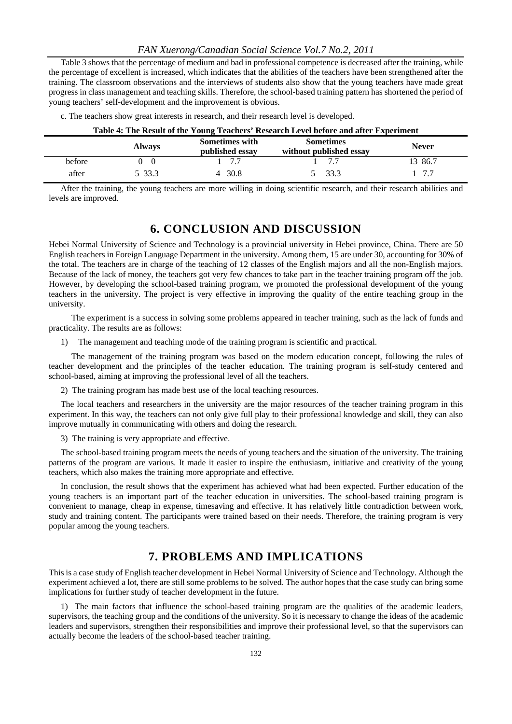Table 3 shows that the percentage of medium and bad in professional competence is decreased after the training, while the percentage of excellent is increased, which indicates that the abilities of the teachers have been strengthened after the training. The classroom observations and the interviews of students also show that the young teachers have made great progress in class management and teaching skills. Therefore, the school-based training pattern has shortened the period of young teachers' self-development and the improvement is obvious.

| Table 4: The Result of the Young Teachers' Research Level before and after Experiment |               |                                          |                                             |              |  |  |  |  |  |  |
|---------------------------------------------------------------------------------------|---------------|------------------------------------------|---------------------------------------------|--------------|--|--|--|--|--|--|
|                                                                                       | <b>Always</b> | <b>Sometimes with</b><br>published essay | <b>Sometimes</b><br>without published essay | <b>Never</b> |  |  |  |  |  |  |
| before                                                                                | 0 0           | 1 77                                     | - 7 7                                       | 13 86.7      |  |  |  |  |  |  |
| after                                                                                 | 5 33.3        | 4 30.8                                   | 5 33.3                                      | 1, 7.7       |  |  |  |  |  |  |

|  |  |  |  |  |  |  | c. The teachers show great interests in research, and their research level is developed. |  |  |  |  |  |  |  |  |
|--|--|--|--|--|--|--|------------------------------------------------------------------------------------------|--|--|--|--|--|--|--|--|
|--|--|--|--|--|--|--|------------------------------------------------------------------------------------------|--|--|--|--|--|--|--|--|

After the training, the young teachers are more willing in doing scientific research, and their research abilities and levels are improved.

#### **6. CONCLUSION AND DISCUSSION**

Hebei Normal University of Science and Technology is a provincial university in Hebei province, China. There are 50 English teachers in Foreign Language Department in the university. Among them, 15 are under 30, accounting for 30% of the total. The teachers are in charge of the teaching of 12 classes of the English majors and all the non-English majors. Because of the lack of money, the teachers got very few chances to take part in the teacher training program off the job. However, by developing the school-based training program, we promoted the professional development of the young teachers in the university. The project is very effective in improving the quality of the entire teaching group in the university.

 The experiment is a success in solving some problems appeared in teacher training, such as the lack of funds and practicality. The results are as follows:

1) The management and teaching mode of the training program is scientific and practical.

 The management of the training program was based on the modern education concept, following the rules of teacher development and the principles of the teacher education. The training program is self-study centered and school-based, aiming at improving the professional level of all the teachers.

2) The training program has made best use of the local teaching resources.

The local teachers and researchers in the university are the major resources of the teacher training program in this experiment. In this way, the teachers can not only give full play to their professional knowledge and skill, they can also improve mutually in communicating with others and doing the research.

3) The training is very appropriate and effective.

The school-based training program meets the needs of young teachers and the situation of the university. The training patterns of the program are various. It made it easier to inspire the enthusiasm, initiative and creativity of the young teachers, which also makes the training more appropriate and effective.

In conclusion, the result shows that the experiment has achieved what had been expected. Further education of the young teachers is an important part of the teacher education in universities. The school-based training program is convenient to manage, cheap in expense, timesaving and effective. It has relatively little contradiction between work, study and training content. The participants were trained based on their needs. Therefore, the training program is very popular among the young teachers.

#### **7. PROBLEMS AND IMPLICATIONS**

This is a case study of English teacher development in Hebei Normal University of Science and Technology. Although the experiment achieved a lot, there are still some problems to be solved. The author hopes that the case study can bring some implications for further study of teacher development in the future.

1) The main factors that influence the school-based training program are the qualities of the academic leaders, supervisors, the teaching group and the conditions of the university. So it is necessary to change the ideas of the academic leaders and supervisors, strengthen their responsibilities and improve their professional level, so that the supervisors can actually become the leaders of the school-based teacher training.